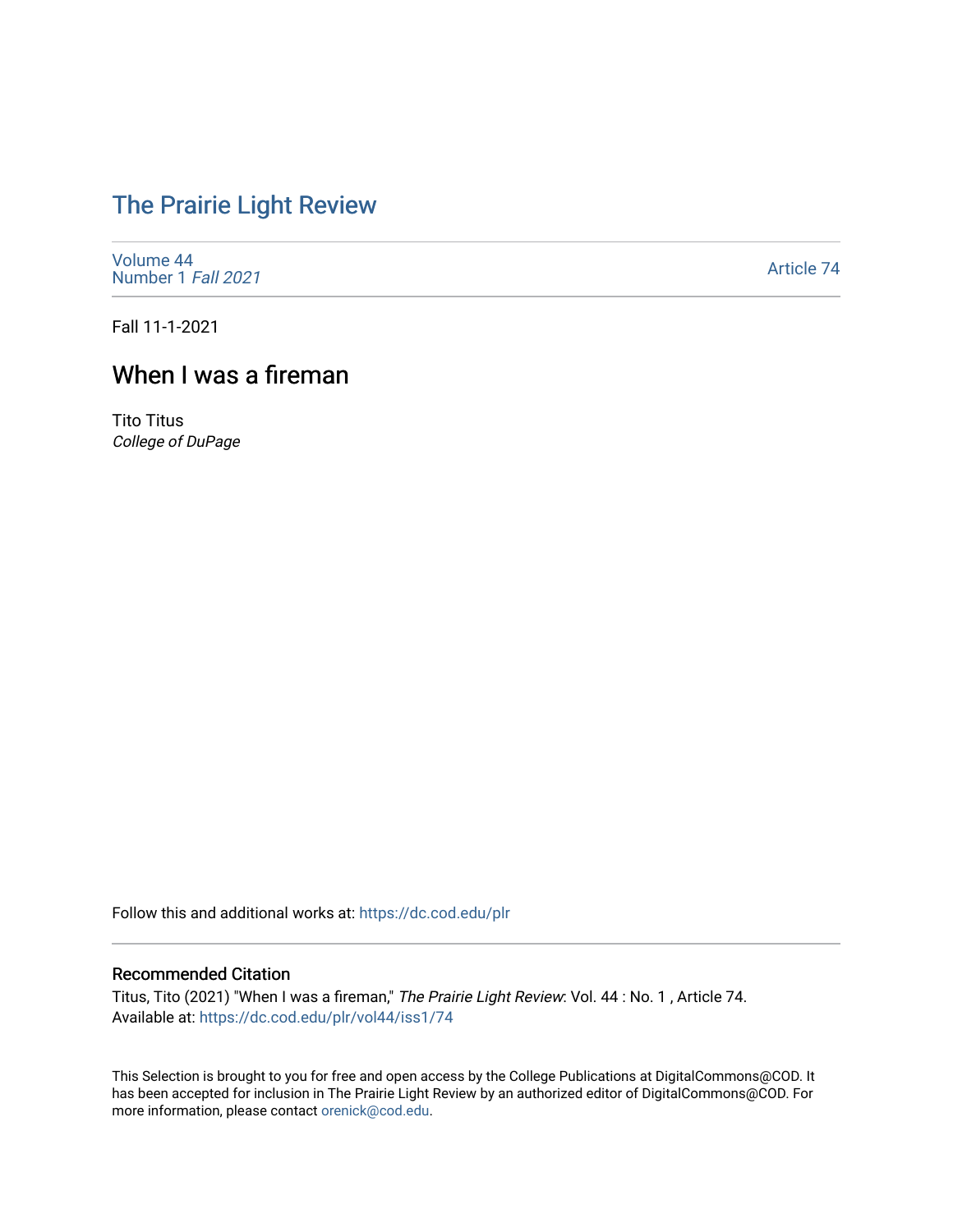## [The Prairie Light Review](https://dc.cod.edu/plr)

[Volume 44](https://dc.cod.edu/plr/vol44) [Number 1](https://dc.cod.edu/plr/vol44/iss1) Fall 2021

[Article 74](https://dc.cod.edu/plr/vol44/iss1/74) 

Fall 11-1-2021

## When I was a fireman

Tito Titus College of DuPage

Follow this and additional works at: [https://dc.cod.edu/plr](https://dc.cod.edu/plr?utm_source=dc.cod.edu%2Fplr%2Fvol44%2Fiss1%2F74&utm_medium=PDF&utm_campaign=PDFCoverPages) 

## Recommended Citation

Titus, Tito (2021) "When I was a fireman," The Prairie Light Review: Vol. 44 : No. 1 , Article 74. Available at: [https://dc.cod.edu/plr/vol44/iss1/74](https://dc.cod.edu/plr/vol44/iss1/74?utm_source=dc.cod.edu%2Fplr%2Fvol44%2Fiss1%2F74&utm_medium=PDF&utm_campaign=PDFCoverPages)

This Selection is brought to you for free and open access by the College Publications at DigitalCommons@COD. It has been accepted for inclusion in The Prairie Light Review by an authorized editor of DigitalCommons@COD. For more information, please contact [orenick@cod.edu.](mailto:orenick@cod.edu)